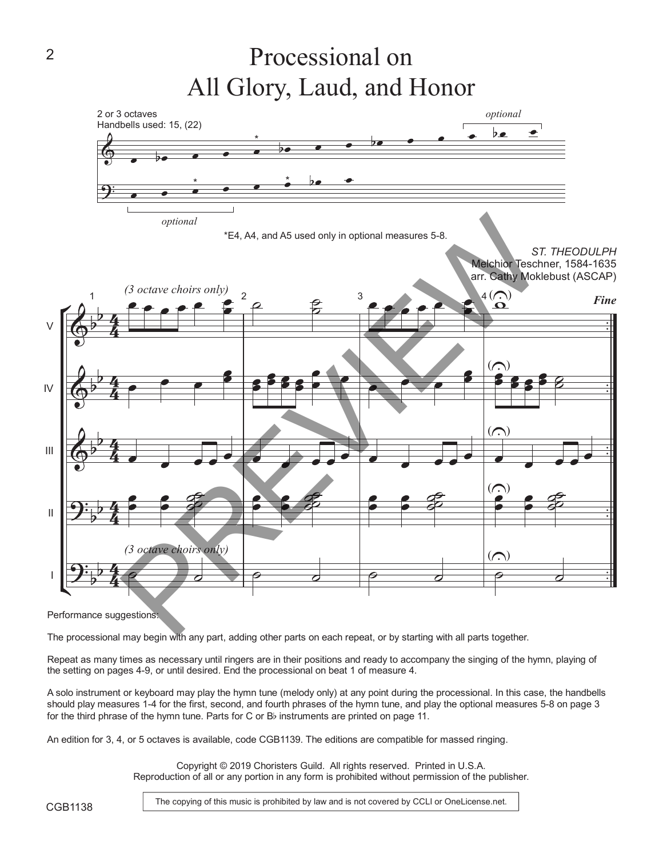## Processional on All Glory, Laud, and Honor



Performance suggestions:

The processional may begin with any part, adding other parts on each repeat, or by starting with all parts together.

Repeat as many times as necessary until ringers are in their positions and ready to accompany the singing of the hymn, playing of the setting on pages 4-9, or until desired. End the processional on beat 1 of measure 4.

A solo instrument or keyboard may play the hymn tune (melody only) at any point during the processional. In this case, the handbells should play measures 1-4 for the first, second, and fourth phrases of the hymn tune, and play the optional measures 5-8 on page 3 for the third phrase of the hymn tune. Parts for C or Bb instruments are printed on page 11.

An edition for 3, 4, or 5 octaves is available, code CGB1139. The editions are compatible for massed ringing.

Copyright © 2019 Choristers Guild. All rights reserved. Printed in U.S.A. Reproduction of all or any portion in any form is prohibited without permission of the publisher.

The copying of this music is prohibited by law and is not covered by CCLI or OneLicense.net.

V

IV

III

II

I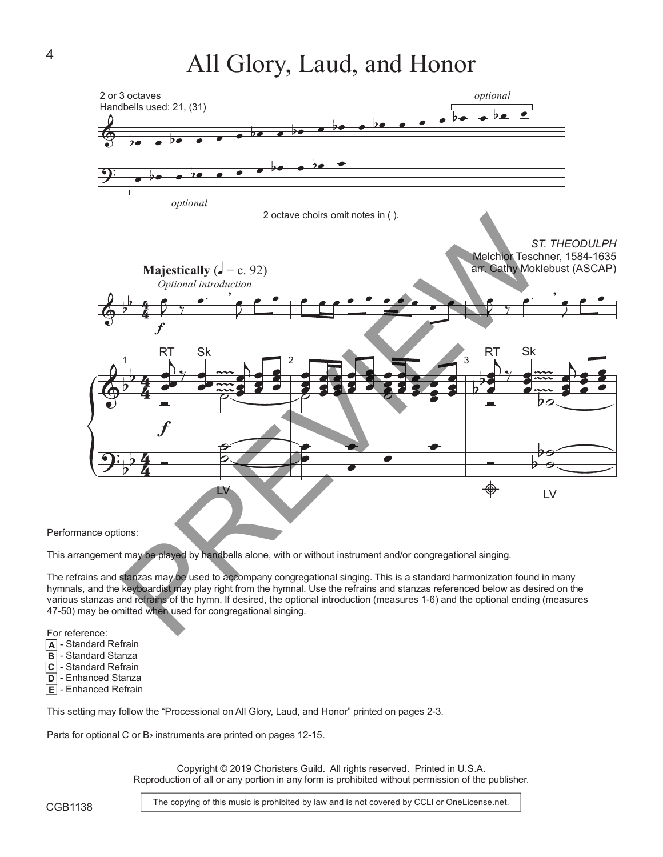All Glory, Laud, and Honor



Performance options:

This arrangement may be played by handbells alone, with or without instrument and/or congregational singing.

The refrains and stanzas may be used to accompany congregational singing. This is a standard harmonization found in many hymnals, and the keyboardist may play right from the hymnal. Use the refrains and stanzas referenced below as desired on the various stanzas and refrains of the hymn. If desired, the optional introduction (measures 1-6) and the optional ending (measures 47-50) may be omitted when used for congregational singing.

For reference:

- **A** - Standard Refrain
- **B** - Standard Stanza
- **C** - Standard Refrain
- **D** - Enhanced Stanza
- **E** - Enhanced Refrain

This setting may follow the "Processional on All Glory, Laud, and Honor" printed on pages 2-3.

Parts for optional C or B<sub>b</sub> instruments are printed on pages 12-15.

Copyright © 2019 Choristers Guild. All rights reserved. Printed in U.S.A. Reproduction of all or any portion in any form is prohibited without permission of the publisher.

CGB1138

The copying of this music is prohibited by law and is not covered by CCLI or OneLicense.net.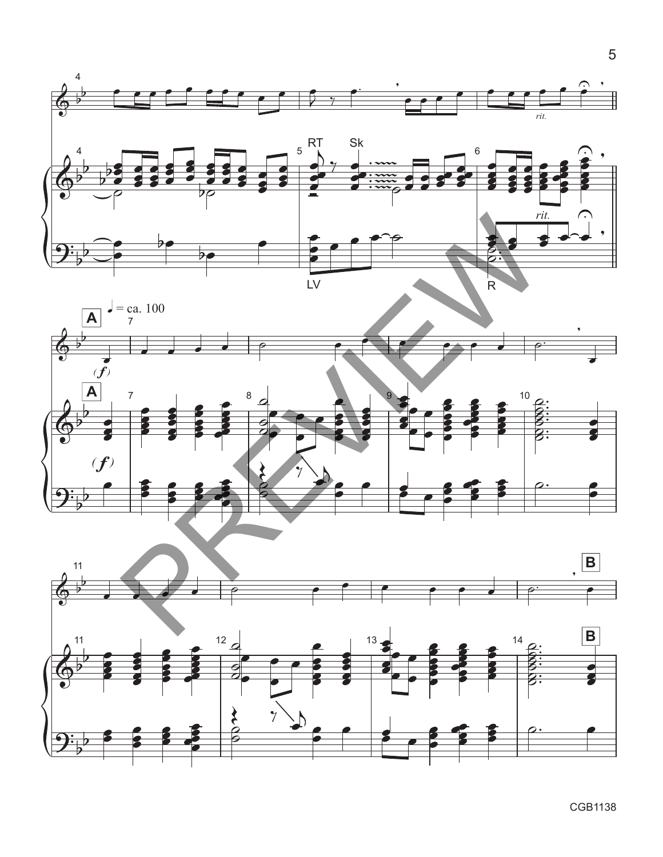





5

CGB1138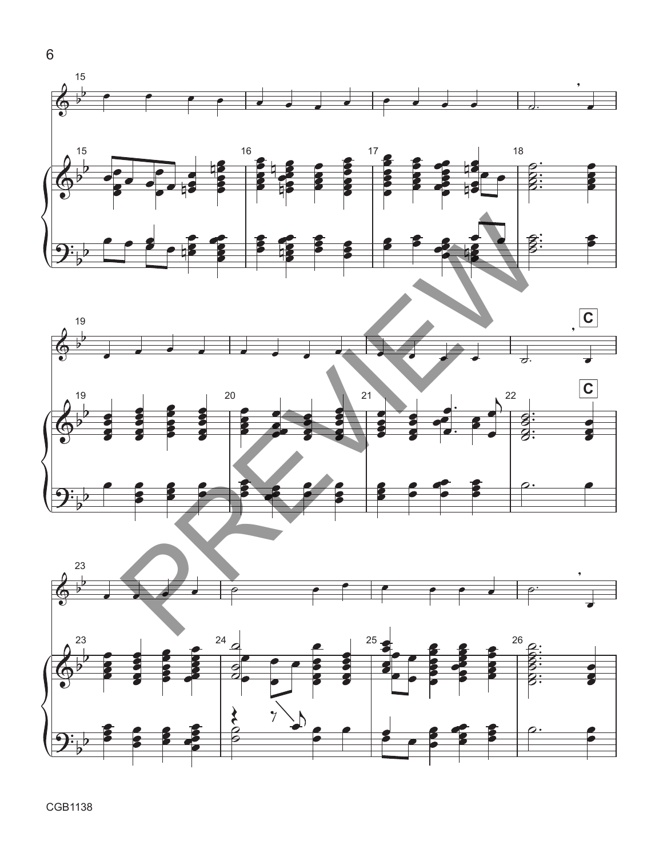